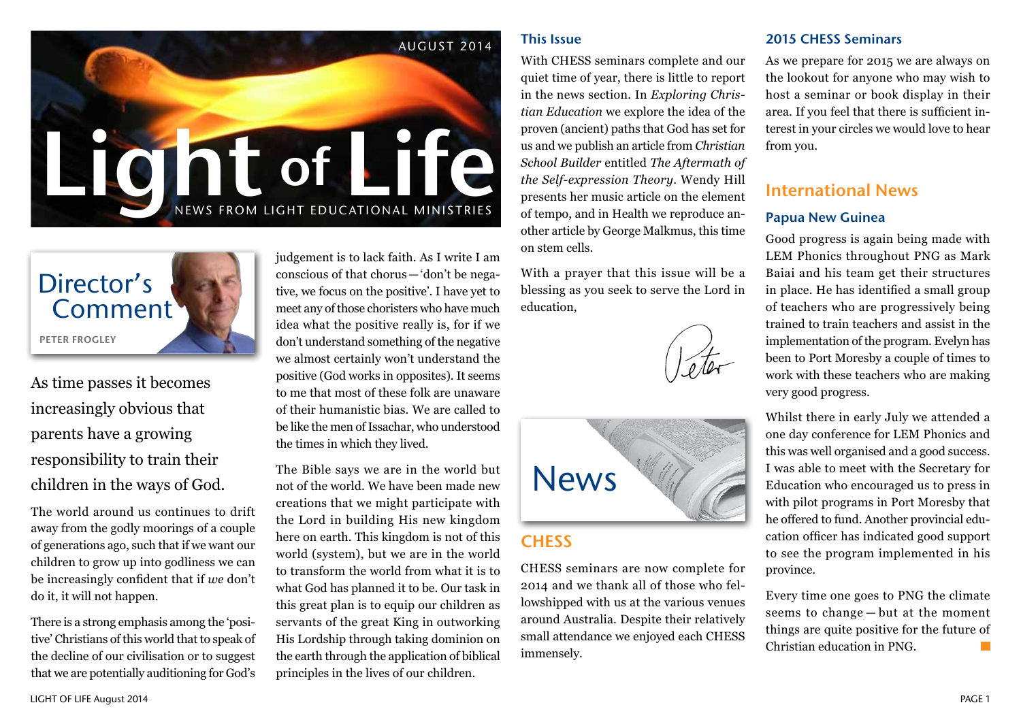



As time passes it becomes increasingly obvious that parents have a growing responsibility to train their children in the ways of God.

The world around us continues to drift away from the godly moorings of a couple of generations ago, such that if we want our children to grow up into godliness we can be increasingly confident that if *we* don't do it, it will not happen.

There is a strong emphasis among the 'positive' Christians of this world that to speak of the decline of our civilisation or to suggest that we are potentially auditioning for God's

judgement is to lack faith. As I write I am conscious of that chorus—'don't be negative, we focus on the positive'. I have yet to meet any of those choristers who have much idea what the positive really is, for if we don't understand something of the negative we almost certainly won't understand the positive (God works in opposites). It seems to me that most of these folk are unaware of their humanistic bias. We are called to be like the men of Issachar, who understood the times in which they lived.

The Bible says we are in the world but not of the world. We have been made new creations that we might participate with the Lord in building His new kingdom here on earth. This kingdom is not of this world (system), but we are in the world to transform the world from what it is to what God has planned it to be. Our task in this great plan is to equip our children as servants of the great King in outworking His Lordship through taking dominion on the earth through the application of biblical principles in the lives of our children.

#### This Issue

With CHESS seminars complete and our quiet time of year, there is little to report in the news section. In *Exploring Christian Education* we explore the idea of the proven (ancient) paths that God has set for us and we publish an article from *Christian School Builder* entitled *The Aftermath of the Self-expression Theory*. Wendy Hill presents her music article on the element of tempo, and in Health we reproduce another article by George Malkmus, this time on stem cells.

With a prayer that this issue will be a blessing as you seek to serve the Lord in education,



# **CHESS**

CHESS seminars are now complete for 2014 and we thank all of those who fellowshipped with us at the various venues around Australia. Despite their relatively small attendance we enjoyed each CHESS immensely.

#### 2015 CHESS Seminars

As we prepare for 2015 we are always on the lookout for anyone who may wish to host a seminar or book display in their area. If you feel that there is sufficient interest in your circles we would love to hear from you.

# International News

#### Papua New Guinea

Good progress is again being made with LEM Phonics throughout PNG as Mark Baiai and his team get their structures in place. He has identified a small group of teachers who are progressively being trained to train teachers and assist in the implementation of the program. Evelyn has been to Port Moresby a couple of times to work with these teachers who are making very good progress.

Whilst there in early July we attended a one day conference for LEM Phonics and this was well organised and a good success. I was able to meet with the Secretary for Education who encouraged us to press in with pilot programs in Port Moresby that he offered to fund. Another provincial education officer has indicated good support to see the program implemented in his province.

Every time one goes to PNG the climate seems to change — but at the moment things are quite positive for the future of Christian education in PNG.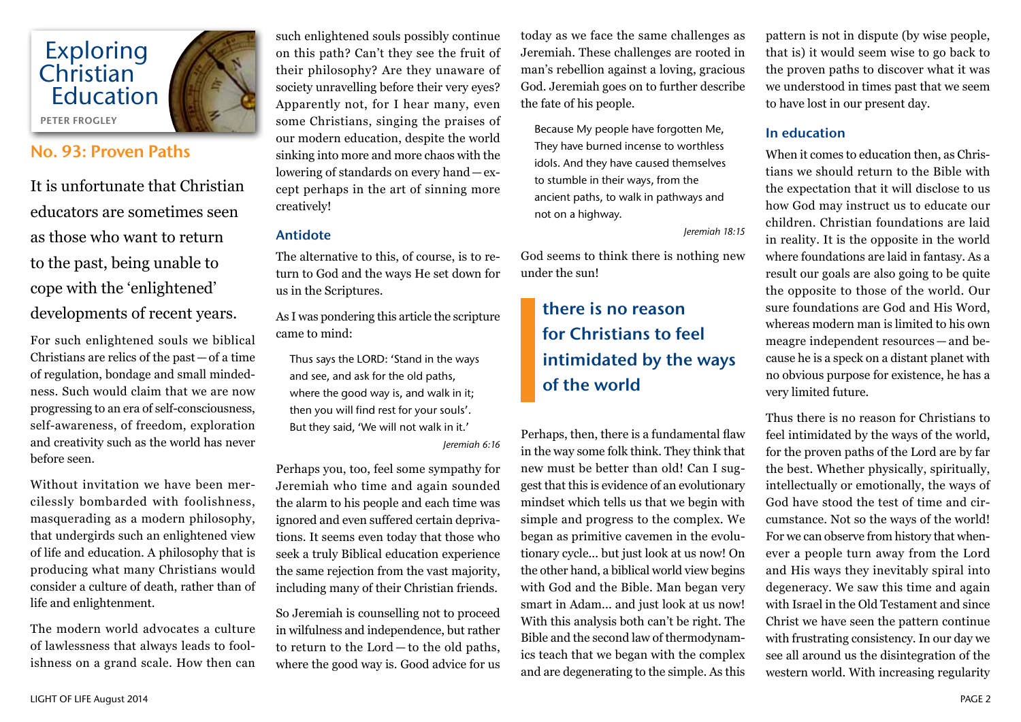

# No. 93: Proven Paths

It is unfortunate that Christian educators are sometimes seen as those who want to return to the past, being unable to cope with the 'enlightened' developments of recent years.

For such enlightened souls we biblical Christians are relics of the past—of a time of regulation, bondage and small mindedness. Such would claim that we are now progressing to an era of self-consciousness, self-awareness, of freedom, exploration and creativity such as the world has never before seen.

Without invitation we have been mercilessly bombarded with foolishness, masquerading as a modern philosophy, that undergirds such an enlightened view of life and education. A philosophy that is producing what many Christians would consider a culture of death, rather than of life and enlightenment.

The modern world advocates a culture of lawlessness that always leads to foolishness on a grand scale. How then can such enlightened souls possibly continue on this path? Can't they see the fruit of their philosophy? Are they unaware of society unravelling before their very eyes? Apparently not, for I hear many, even some Christians, singing the praises of our modern education, despite the world sinking into more and more chaos with the lowering of standards on every hand—except perhaps in the art of sinning more creatively!

#### Antidote

The alternative to this, of course, is to return to God and the ways He set down for us in the Scriptures.

As I was pondering this article the scripture came to mind:

Thus says the LORD: 'Stand in the ways and see, and ask for the old paths, where the good way is, and walk in it; then you will find rest for your souls'. But they said, 'We will not walk in it.' *Jeremiah 6:16*

Perhaps you, too, feel some sympathy for Jeremiah who time and again sounded the alarm to his people and each time was ignored and even suffered certain deprivations. It seems even today that those who seek a truly Biblical education experience the same rejection from the vast majority, including many of their Christian friends.

So Jeremiah is counselling not to proceed in wilfulness and independence, but rather to return to the Lord — to the old paths, where the good way is. Good advice for us

today as we face the same challenges as Jeremiah. These challenges are rooted in man's rebellion against a loving, gracious God. Jeremiah goes on to further describe the fate of his people.

Because My people have forgotten Me, They have burned incense to worthless idols. And they have caused themselves to stumble in their ways, from the ancient paths, to walk in pathways and not on a highway.

*Jeremiah 18:15*

God seems to think there is nothing new under the sun!

# there is no reason for Christians to feel intimidated by the ways of the world

Perhaps, then, there is a fundamental flaw in the way some folk think. They think that new must be better than old! Can I suggest that this is evidence of an evolutionary mindset which tells us that we begin with simple and progress to the complex. We began as primitive cavemen in the evolutionary cycle... but just look at us now! On the other hand, a biblical world view begins with God and the Bible. Man began very smart in Adam... and just look at us now! With this analysis both can't be right. The Bible and the second law of thermodynamics teach that we began with the complex and are degenerating to the simple. As this

pattern is not in dispute (by wise people, that is) it would seem wise to go back to the proven paths to discover what it was we understood in times past that we seem to have lost in our present day.

#### In education

When it comes to education then, as Christians we should return to the Bible with the expectation that it will disclose to us how God may instruct us to educate our children. Christian foundations are laid in reality. It is the opposite in the world where foundations are laid in fantasy. As a result our goals are also going to be quite the opposite to those of the world. Our sure foundations are God and His Word, whereas modern man is limited to his own meagre independent resources — and because he is a speck on a distant planet with no obvious purpose for existence, he has a very limited future.

Thus there is no reason for Christians to feel intimidated by the ways of the world, for the proven paths of the Lord are by far the best. Whether physically, spiritually, intellectually or emotionally, the ways of God have stood the test of time and circumstance. Not so the ways of the world! For we can observe from history that whenever a people turn away from the Lord and His ways they inevitably spiral into degeneracy. We saw this time and again with Israel in the Old Testament and since Christ we have seen the pattern continue with frustrating consistency. In our day we see all around us the disintegration of the western world. With increasing regularity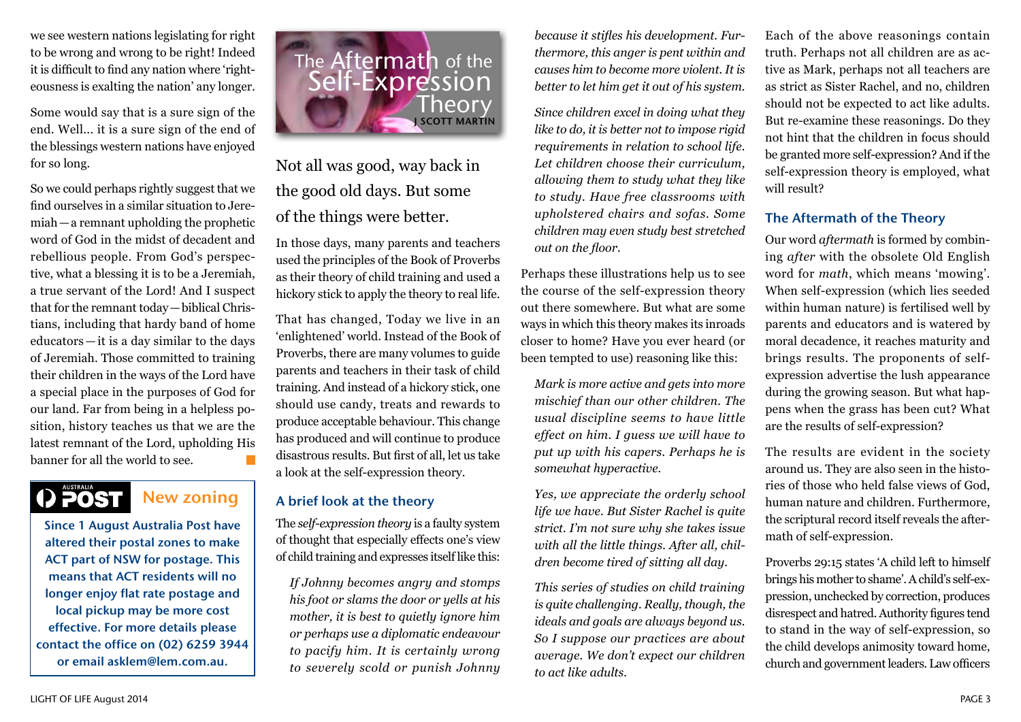we see western nations legislating for right to be wrong and wrong to be right! Indeed it is difficult to find any nation where 'righteousness is exalting the nation' any longer.

Some would say that is a sure sign of the end. Well... it is a sure sign of the end of the blessings western nations have enjoyed for so long.

So we could perhaps rightly suggest that we find ourselves in a similar situation to Jeremiah—a remnant upholding the prophetic word of God in the midst of decadent and rebellious people. From God's perspective, what a blessing it is to be a Jeremiah, a true servant of the Lord! And I suspect that for the remnant today—biblical Christians, including that hardy band of home educators — it is a day similar to the days of Jeremiah. Those committed to training their children in the ways of the Lord have a special place in the purposes of God for our land. Far from being in a helpless position, history teaches us that we are the latest remnant of the Lord, upholding His banner for all the world to see.

# AUSTRALIA<br>**POST**

# New zoning

Since 1 August Australia Post have altered their postal zones to make ACT part of NSW for postage. This means that ACT residents will no longer enjoy flat rate postage and local pickup may be more cost effective. For more details please contact the office on (02) 6259 3944 or email asklem@lem.com.au.



Not all was good, way back in the good old days. But some of the things were better.

In those days, many parents and teachers used the principles of the Book of Proverbs as their theory of child training and used a hickory stick to apply the theory to real life.

That has changed, Today we live in an 'enlightened' world. Instead of the Book of Proverbs, there are many volumes to guide parents and teachers in their task of child training. And instead of a hickory stick, one should use candy, treats and rewards to produce acceptable behaviour. This change has produced and will continue to produce disastrous results. But first of all, let us take a look at the self-expression theory.

## A brief look at the theory

The *self-expression theory* is a faulty system of thought that especially effects one's view of child training and expresses itself like this:

*If Johnny becomes angry and stomps his foot or slams the door or yells at his mother, it is best to quietly ignore him or perhaps use a diplomatic endeavour to pacify him. It is certainly wrong to severely scold or punish Johnny* 

*because it stifles his development. Furthermore, this anger is pent within and causes him to become more violent. It is better to let him get it out of his system.*

*Since children excel in doing what they like to do, it is better not to impose rigid requirements in relation to school life. Let children choose their curriculum, allowing them to study what they like to study. Have free classrooms with upholstered chairs and sofas. Some children may even study best stretched out on the floor.*

Perhaps these illustrations help us to see the course of the self-expression theory out there somewhere. But what are some ways in which this theory makes its inroads closer to home? Have you ever heard (or been tempted to use) reasoning like this:

*Mark is more active and gets into more mischief than our other children. The usual discipline seems to have little effect on him. I guess we will have to put up with his capers. Perhaps he is somewhat hyperactive.*

*Yes, we appreciate the orderly school life we have. But Sister Rachel is quite strict. I'm not sure why she takes issue with all the little things. After all, children become tired of sitting all day.*

*This series of studies on child training is quite challenging. Really, though, the ideals and goals are always beyond us. So I suppose our practices are about average. We don't expect our children to act like adults.*

Each of the above reasonings contain truth. Perhaps not all children are as active as Mark, perhaps not all teachers are as strict as Sister Rachel, and no, children should not be expected to act like adults. But re-examine these reasonings. Do they not hint that the children in focus should be granted more self-expression? And if the self-expression theory is employed, what will result?

### The Aftermath of the Theory

Our word *aftermath* is formed by combining *after* with the obsolete Old English word for *math*, which means 'mowing'. When self-expression (which lies seeded within human nature) is fertilised well by parents and educators and is watered by moral decadence, it reaches maturity and brings results. The proponents of selfexpression advertise the lush appearance during the growing season. But what happens when the grass has been cut? What are the results of self-expression?

The results are evident in the society around us. They are also seen in the histories of those who held false views of God, human nature and children. Furthermore, the scriptural record itself reveals the aftermath of self-expression.

Proverbs 29:15 states 'A child left to himself brings his mother to shame'. A child's self-expression, unchecked by correction, produces disrespect and hatred. Authority figures tend to stand in the way of self-expression, so the child develops animosity toward home, church and government leaders. Law officers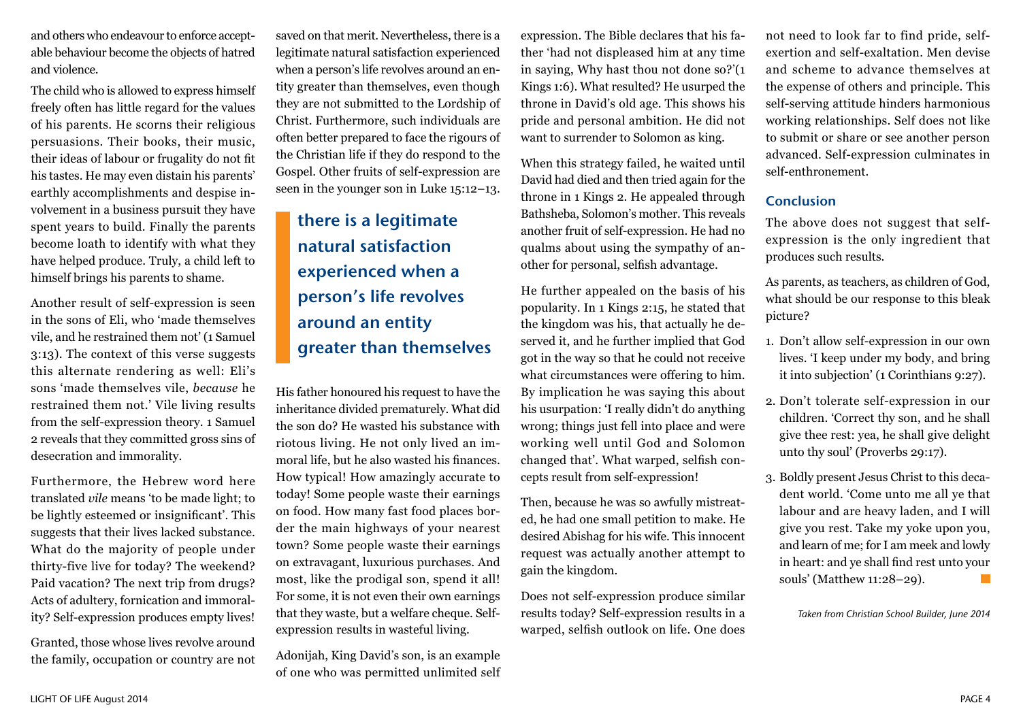and others who endeavour to enforce acceptable behaviour become the objects of hatred and violence.

The child who is allowed to express himself freely often has little regard for the values of his parents. He scorns their religious persuasions. Their books, their music, their ideas of labour or frugality do not fit his tastes. He may even distain his parents' earthly accomplishments and despise involvement in a business pursuit they have spent years to build. Finally the parents become loath to identify with what they have helped produce. Truly, a child left to himself brings his parents to shame.

Another result of self-expression is seen in the sons of Eli, who 'made themselves vile, and he restrained them not' (1 Samuel 3:13). The context of this verse suggests this alternate rendering as well: Eli's sons 'made themselves vile, *because* he restrained them not.' Vile living results from the self-expression theory. 1 Samuel 2 reveals that they committed gross sins of desecration and immorality.

Furthermore, the Hebrew word here translated *vile* means 'to be made light; to be lightly esteemed or insignificant'. This suggests that their lives lacked substance. What do the majority of people under thirty-five live for today? The weekend? Paid vacation? The next trip from drugs? Acts of adultery, fornication and immorality? Self-expression produces empty lives!

Granted, those whose lives revolve around the family, occupation or country are not

saved on that merit. Nevertheless, there is a legitimate natural satisfaction experienced when a person's life revolves around an entity greater than themselves, even though they are not submitted to the Lordship of Christ. Furthermore, such individuals are often better prepared to face the rigours of the Christian life if they do respond to the Gospel. Other fruits of self-expression are seen in the younger son in Luke 15:12–13.

# there is a legitimate natural satisfaction experienced when a person's life revolves around an entity greater than themselves

His father honoured his request to have the inheritance divided prematurely. What did the son do? He wasted his substance with riotous living. He not only lived an immoral life, but he also wasted his finances. How typical! How amazingly accurate to today! Some people waste their earnings on food. How many fast food places border the main highways of your nearest town? Some people waste their earnings on extravagant, luxurious purchases. And most, like the prodigal son, spend it all! For some, it is not even their own earnings that they waste, but a welfare cheque. Selfexpression results in wasteful living.

Adonijah, King David's son, is an example of one who was permitted unlimited self

expression. The Bible declares that his father 'had not displeased him at any time in saying, Why hast thou not done so?'(1 Kings 1:6). What resulted? He usurped the throne in David's old age. This shows his pride and personal ambition. He did not want to surrender to Solomon as king.

When this strategy failed, he waited until David had died and then tried again for the throne in 1 Kings 2. He appealed through Bathsheba, Solomon's mother. This reveals another fruit of self-expression. He had no qualms about using the sympathy of another for personal, selfish advantage.

He further appealed on the basis of his popularity. In 1 Kings 2:15, he stated that the kingdom was his, that actually he deserved it, and he further implied that God got in the way so that he could not receive what circumstances were offering to him. By implication he was saying this about his usurpation: 'I really didn't do anything wrong; things just fell into place and were working well until God and Solomon changed that'. What warped, selfish concepts result from self-expression!

Then, because he was so awfully mistreated, he had one small petition to make. He desired Abishag for his wife. This innocent request was actually another attempt to gain the kingdom.

Does not self-expression produce similar results today? Self-expression results in a warped, selfish outlook on life. One does

not need to look far to find pride, selfexertion and self-exaltation. Men devise and scheme to advance themselves at the expense of others and principle. This self-serving attitude hinders harmonious working relationships. Self does not like to submit or share or see another person advanced. Self-expression culminates in self-enthronement.

#### Conclusion

The above does not suggest that selfexpression is the only ingredient that produces such results.

As parents, as teachers, as children of God, what should be our response to this bleak picture?

- 1. Don't allow self-expression in our own lives. 'I keep under my body, and bring it into subjection' (1 Corinthians 9:27).
- 2. Don't tolerate self-expression in our children. 'Correct thy son, and he shall give thee rest: yea, he shall give delight unto thy soul' (Proverbs 29:17).
- 3. Boldly present Jesus Christ to this decadent world. 'Come unto me all ye that labour and are heavy laden, and I will give you rest. Take my yoke upon you, and learn of me; for I am meek and lowly in heart: and ye shall find rest unto your souls' (Matthew 11:28–29).

*Taken from Christian School Builder, June 2014*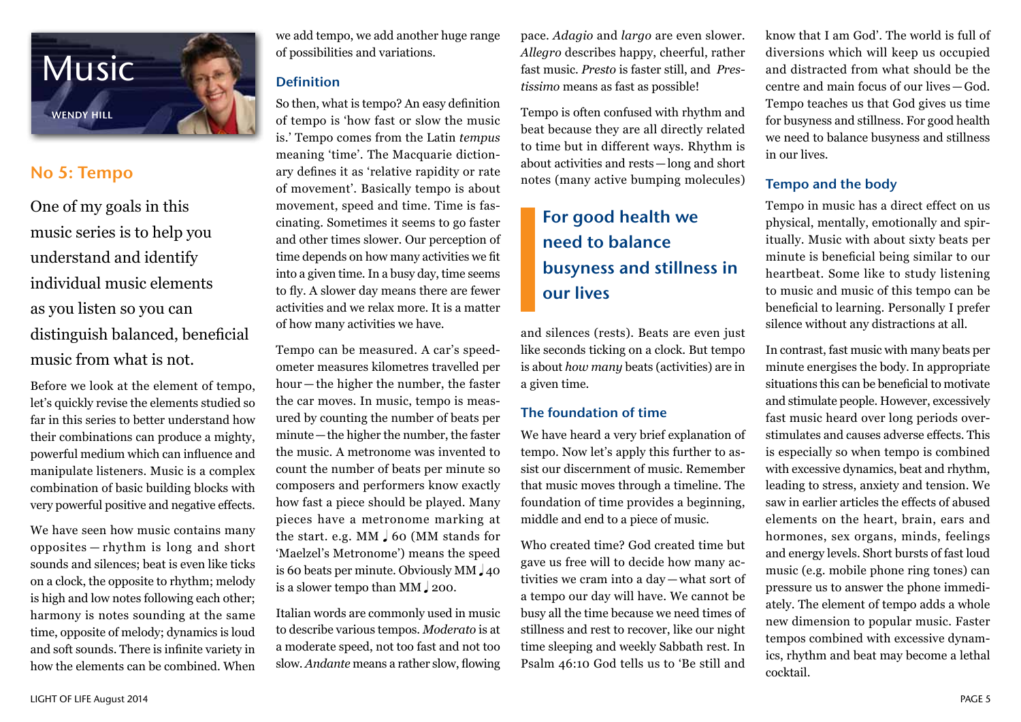

# No 5: Tempo

One of my goals in this music series is to help you understand and identify individual music elements as you listen so you can distinguish balanced, beneficial music from what is not.

Before we look at the element of tempo, let's quickly revise the elements studied so far in this series to better understand how their combinations can produce a mighty, powerful medium which can influence and manipulate listeners. Music is a complex combination of basic building blocks with very powerful positive and negative effects.

We have seen how music contains many opposites — rhythm is long and short sounds and silences; beat is even like ticks on a clock, the opposite to rhythm; melody is high and low notes following each other; harmony is notes sounding at the same time, opposite of melody; dynamics is loud and soft sounds. There is infinite variety in how the elements can be combined. When

we add tempo, we add another huge range of possibilities and variations.

## Definition

So then, what is tempo? An easy definition of tempo is 'how fast or slow the music is.' Tempo comes from the Latin *tempus* meaning 'time'. The Macquarie dictionary defines it as 'relative rapidity or rate of movement'. Basically tempo is about movement, speed and time. Time is fascinating. Sometimes it seems to go faster and other times slower. Our perception of time depends on how many activities we fit into a given time. In a busy day, time seems to fly. A slower day means there are fewer activities and we relax more. It is a matter of how many activities we have.

Tempo can be measured. A car's speedometer measures kilometres travelled per hour — the higher the number, the faster the car moves. In music, tempo is measured by counting the number of beats per minute—the higher the number, the faster the music. A metronome was invented to count the number of beats per minute so composers and performers know exactly how fast a piece should be played. Many pieces have a metronome marking at the start. e.g.  $MM \downarrow 60$  (MM stands for 'Maelzel's Metronome') means the speed is 60 beats per minute. Obviously  $MM_{4}$  40 is a slower tempo than MM  $\downarrow$  200.

Italian words are commonly used in music to describe various tempos. *Moderato* is at a moderate speed, not too fast and not too slow. *Andante* means a rather slow, flowing

pace. *Adagio* and *largo* are even slower. *Allegro* describes happy, cheerful, rather fast music. *Presto* is faster still, and *Prestissimo* means as fast as possible!

Tempo is often confused with rhythm and beat because they are all directly related to time but in different ways. Rhythm is about activities and rests—long and short notes (many active bumping molecules)

# For good health we need to balance busyness and stillness in our lives

and silences (rests). Beats are even just like seconds ticking on a clock. But tempo is about *how many* beats (activities) are in a given time.

## The foundation of time

We have heard a very brief explanation of tempo. Now let's apply this further to assist our discernment of music. Remember that music moves through a timeline. The foundation of time provides a beginning, middle and end to a piece of music.

Who created time? God created time but gave us free will to decide how many activities we cram into a day — what sort of a tempo our day will have. We cannot be busy all the time because we need times of stillness and rest to recover, like our night time sleeping and weekly Sabbath rest. In Psalm 46:10 God tells us to 'Be still and

know that I am God'. The world is full of diversions which will keep us occupied and distracted from what should be the centre and main focus of our lives—God. Tempo teaches us that God gives us time for busyness and stillness. For good health we need to balance busyness and stillness in our lives.

## Tempo and the body

Tempo in music has a direct effect on us physical, mentally, emotionally and spiritually. Music with about sixty beats per minute is beneficial being similar to our heartbeat. Some like to study listening to music and music of this tempo can be beneficial to learning. Personally I prefer silence without any distractions at all.

In contrast, fast music with many beats per minute energises the body. In appropriate situations this can be beneficial to motivate and stimulate people. However, excessively fast music heard over long periods overstimulates and causes adverse effects. This is especially so when tempo is combined with excessive dynamics, beat and rhythm, leading to stress, anxiety and tension. We saw in earlier articles the effects of abused elements on the heart, brain, ears and hormones, sex organs, minds, feelings and energy levels. Short bursts of fast loud music (e.g. mobile phone ring tones) can pressure us to answer the phone immediately. The element of tempo adds a whole new dimension to popular music. Faster tempos combined with excessive dynamics, rhythm and beat may become a lethal cocktail.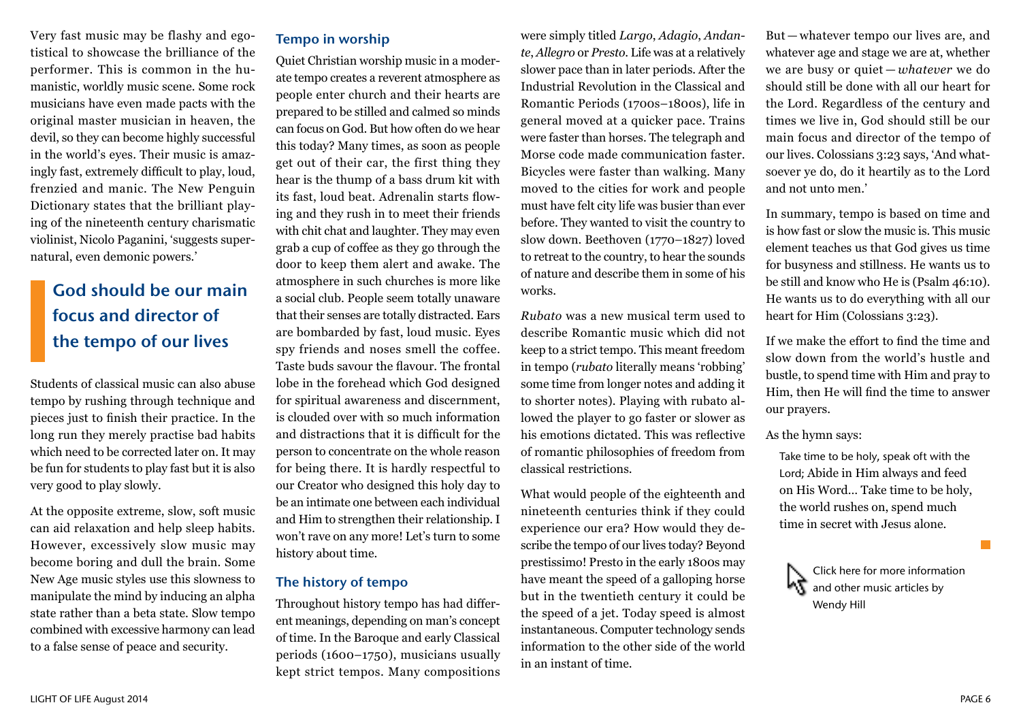Very fast music may be flashy and egotistical to showcase the brilliance of the performer. This is common in the humanistic, worldly music scene. Some rock musicians have even made pacts with the original master musician in heaven, the devil, so they can become highly successful in the world's eyes. Their music is amazingly fast, extremely difficult to play, loud, frenzied and manic. The New Penguin Dictionary states that the brilliant playing of the nineteenth century charismatic violinist, Nicolo Paganini, 'suggests supernatural, even demonic powers.'

# God should be our main focus and director of the tempo of our lives

Students of classical music can also abuse tempo by rushing through technique and pieces just to finish their practice. In the long run they merely practise bad habits which need to be corrected later on. It may be fun for students to play fast but it is also very good to play slowly.

At the opposite extreme, slow, soft music can aid relaxation and help sleep habits. However, excessively slow music may become boring and dull the brain. Some New Age music styles use this slowness to manipulate the mind by inducing an alpha state rather than a beta state. Slow tempo combined with excessive harmony can lead to a false sense of peace and security.

# Tempo in worship

Quiet Christian worship music in a moderate tempo creates a reverent atmosphere as people enter church and their hearts are prepared to be stilled and calmed so minds can focus on God. But how often do we hear this today? Many times, as soon as people get out of their car, the first thing they hear is the thump of a bass drum kit with its fast, loud beat. Adrenalin starts flowing and they rush in to meet their friends with chit chat and laughter. They may even grab a cup of coffee as they go through the door to keep them alert and awake. The atmosphere in such churches is more like a social club. People seem totally unaware that their senses are totally distracted. Ears are bombarded by fast, loud music. Eyes spy friends and noses smell the coffee. Taste buds savour the flavour. The frontal lobe in the forehead which God designed for spiritual awareness and discernment, is clouded over with so much information and distractions that it is difficult for the person to concentrate on the whole reason for being there. It is hardly respectful to our Creator who designed this holy day to be an intimate one between each individual and Him to strengthen their relationship. I won't rave on any more! Let's turn to some history about time.

#### The history of tempo

Throughout history tempo has had different meanings, depending on man's concept of time. In the Baroque and early Classical periods (1600–1750), musicians usually kept strict tempos. Many compositions

were simply titled *Largo*, *Adagio*, *Andante*, *Allegro* or *Presto*. Life was at a relatively slower pace than in later periods. After the Industrial Revolution in the Classical and Romantic Periods (1700s–1800s), life in general moved at a quicker pace. Trains were faster than horses. The telegraph and Morse code made communication faster. Bicycles were faster than walking. Many moved to the cities for work and people must have felt city life was busier than ever before. They wanted to visit the country to slow down. Beethoven (1770–1827) loved to retreat to the country, to hear the sounds of nature and describe them in some of his works.

*Rubato* was a new musical term used to describe Romantic music which did not keep to a strict tempo. This meant freedom in tempo (*rubato* literally means 'robbing' some time from longer notes and adding it to shorter notes). Playing with rubato allowed the player to go faster or slower as his emotions dictated. This was reflective of romantic philosophies of freedom from classical restrictions.

What would people of the eighteenth and nineteenth centuries think if they could experience our era? How would they describe the tempo of our lives today? Beyond prestissimo! Presto in the early 1800s may have meant the speed of a galloping horse but in the twentieth century it could be the speed of a jet. Today speed is almost instantaneous. Computer technology sends information to the other side of the world in an instant of time.

But — whatever tempo our lives are, and whatever age and stage we are at, whether we are busy or quiet — *whatever* we do should still be done with all our heart for the Lord. Regardless of the century and times we live in, God should still be our main focus and director of the tempo of our lives. Colossians 3:23 says, 'And whatsoever ye do, do it heartily as to the Lord and not unto men.'

In summary, tempo is based on time and is how fast or slow the music is. This music element teaches us that God gives us time for busyness and stillness. He wants us to be still and know who He is (Psalm 46:10). He wants us to do everything with all our heart for Him (Colossians 3:23).

If we make the effort to find the time and slow down from the world's hustle and bustle, to spend time with Him and pray to Him, then He will find the time to answer our prayers.

#### As the hymn says:

Take time to be holy, speak oft with the Lord; Abide in Him always and feed on His Word… Take time to be holy, the world rushes on, spend much time in secret with Jesus alone.



T.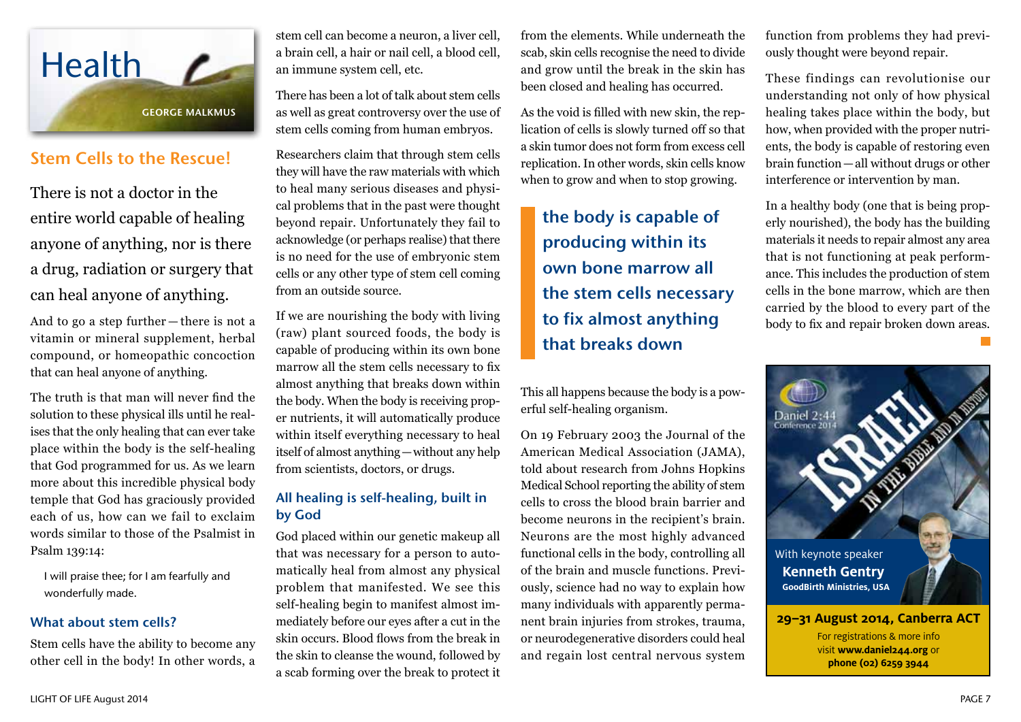

# Stem Cells to the Rescue!

There is not a doctor in the entire world capable of healing anyone of anything, nor is there a drug, radiation or surgery that can heal anyone of anything.

And to go a step further — there is not a vitamin or mineral supplement, herbal compound, or homeopathic concoction that can heal anyone of anything.

The truth is that man will never find the solution to these physical ills until he realises that the only healing that can ever take place within the body is the self-healing that God programmed for us. As we learn more about this incredible physical body temple that God has graciously provided each of us, how can we fail to exclaim words similar to those of the Psalmist in Psalm 139:14:

I will praise thee; for I am fearfully and wonderfully made.

#### What about stem cells?

Stem cells have the ability to become any other cell in the body! In other words, a

stem cell can become a neuron, a liver cell, a brain cell, a hair or nail cell, a blood cell, an immune system cell, etc.

There has been a lot of talk about stem cells as well as great controversy over the use of stem cells coming from human embryos.

Researchers claim that through stem cells they will have the raw materials with which to heal many serious diseases and physical problems that in the past were thought beyond repair. Unfortunately they fail to acknowledge (or perhaps realise) that there is no need for the use of embryonic stem cells or any other type of stem cell coming from an outside source.

If we are nourishing the body with living (raw) plant sourced foods, the body is capable of producing within its own bone marrow all the stem cells necessary to fix almost anything that breaks down within the body. When the body is receiving proper nutrients, it will automatically produce within itself everything necessary to heal itself of almost anything—without any help from scientists, doctors, or drugs.

## All healing is self-healing, built in by God

God placed within our genetic makeup all that was necessary for a person to automatically heal from almost any physical problem that manifested. We see this self-healing begin to manifest almost immediately before our eyes after a cut in the skin occurs. Blood flows from the break in the skin to cleanse the wound, followed by a scab forming over the break to protect it

from the elements. While underneath the scab, skin cells recognise the need to divide and grow until the break in the skin has been closed and healing has occurred.

As the void is filled with new skin, the replication of cells is slowly turned off so that a skin tumor does not form from excess cell replication. In other words, skin cells know when to grow and when to stop growing.

the body is capable of producing within its own bone marrow all the stem cells necessary to fix almost anything that breaks down

This all happens because the body is a powerful self-healing organism.

On 19 February 2003 the Journal of the American Medical Association (JAMA), told about research from Johns Hopkins Medical School reporting the ability of stem cells to cross the blood brain barrier and become neurons in the recipient's brain. Neurons are the most highly advanced functional cells in the body, controlling all of the brain and muscle functions. Previously, science had no way to explain how many individuals with apparently permanent brain injuries from strokes, trauma, or neurodegenerative disorders could heal and regain lost central nervous system

function from problems they had previously thought were beyond repair.

These findings can revolutionise our understanding not only of how physical healing takes place within the body, but how, when provided with the proper nutrients, the body is capable of restoring even brain function—all without drugs or other interference or intervention by man.

In a healthy body (one that is being properly nourished), the body has the building materials it needs to repair almost any area that is not functioning at peak performance. This includes the production of stem cells in the bone marrow, which are then carried by the blood to every part of the body to fix and repair broken down areas.

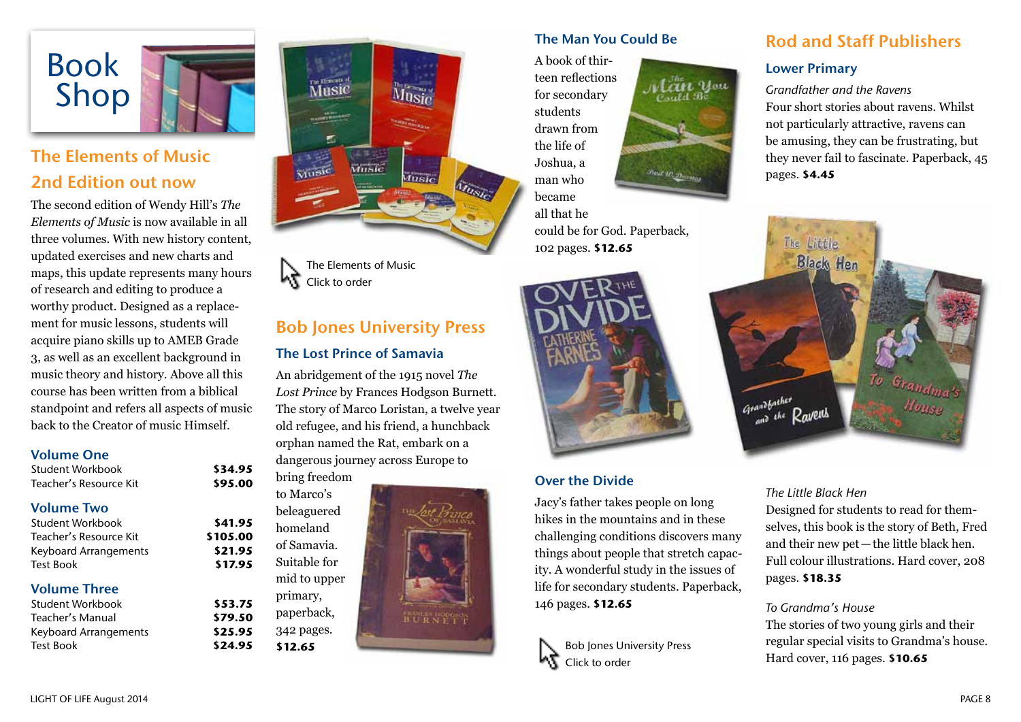

# The Elements of Music 2nd Edition out now

The second edition of Wendy Hill's *The Elements of Music* is now available in all three volumes. With new history content, updated exercises and new charts and maps, this update represents many hours of research and editing to produce a worthy product. Designed as a replacement for music lessons, students will acquire piano skills up to AMEB Grade 3, as well as an excellent background in music theory and history. Above all this course has been written from a biblical standpoint and refers all aspects of music back to the Creator of music Himself.

> Student Workbook **\$34.95** Teacher's Resource Kit **\$95.00**

> > to Marco's

homeland of Samavia. Suitable for

primary, paperback, 342 pages. **\$12.65**

#### Volume One

| Student Workbook       |  |
|------------------------|--|
| Teacher's Resource Kit |  |

# Volume Two

Student Workbook **\$41.95** Teacher's Resource Kit **\$105.00** Keyboard Arrangements **\$21.95** Test Book **\$17.95**

# Volume Three

| \$53.75 |
|---------|
| \$79.50 |
| \$25.95 |
| \$24.95 |
|         |



The Elements of Music Click to order

# Bob Jones University Press

### The Lost Prince of Samavia

An abridgement of the 1915 novel *The Lost Prince* by Frances Hodgson Burnett. The story of Marco Loristan, a twelve year old refugee, and his friend, a hunchback orphan named the Rat, embark on a dangerous journey across Europe to bring freedom



## The Man You Could Be

A book of thirteen reflections for secondary students drawn from the life of Joshua, a man who became all that he

could be for God. Paperback, 102 pages. **\$12.65**



#### Over the Divide

Jacy's father takes people on long hikes in the mountains and in these challenging conditions discovers many things about people that stretch capacity. A wonderful study in the issues of life for secondary students. Paperback, 146 pages. **\$12.65**



Bob Jones University Press

Click to order



Lan you

# Rod and Staff Publishers

## Lower Primary

*Grandfather and the Ravens* Four short stories about ravens. Whilst not particularly attractive, ravens can be amusing, they can be frustrating, but they never fail to fascinate. Paperback, 45 pages. **\$4.45**



#### *The Little Black Hen*

Designed for students to read for themselves, this book is the story of Beth, Fred and their new pet—the little black hen. Full colour illustrations. Hard cover, 208 pages. **\$18.35**

#### *To Grandma's House*

The stories of two young girls and their regular special visits to Grandma's house. Hard cover, 116 pages. **\$10.65**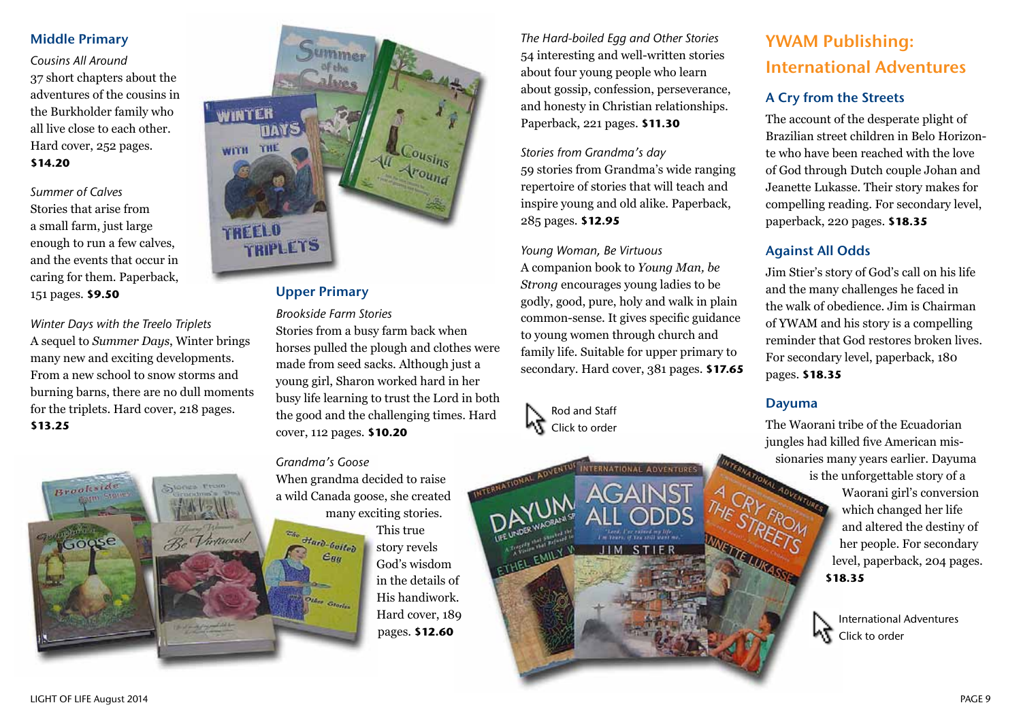### Middle Primary

*Cousins All Around* 37 short chapters about the adventures of the cousins in the Burkholder family who all live close to each other. Hard cover, 252 pages. **\$14.20**

*Summer of Calves* Stories that arise from a small farm, just large enough to run a few calves, and the events that occur in caring for them. Paperback, 151 pages. **\$9.50**

*Winter Days with the Treelo Triplets* A sequel to *Summer Days*, Winter brings many new and exciting developments. From a new school to snow storms and burning barns, there are no dull moments for the triplets. Hard cover, 218 pages. **\$13.25**

Stones From

Be Thermons!



# Upper Primary

*Brookside Farm Stories* Stories from a busy farm back when horses pulled the plough and clothes were made from seed sacks. Although just a young girl, Sharon worked hard in her busy life learning to trust the Lord in both the good and the challenging times. Hard cover, 112 pages. **\$10.20**

#### *Grandma's Goose*

 $\overbrace{\hspace{40pt}}^{w_{ho}}$  Hard-boiled

 $\epsilon_{qq}$ 

When grandma decided to raise a wild Canada goose, she created many exciting stories.

> This true story revels God's wisdom in the details of His handiwork. Hard cover, 189 pages. **\$12.60**

*The Hard-boiled Egg and Other Stories* 54 interesting and well-written stories about four young people who learn about gossip, confession, perseverance, and honesty in Christian relationships. Paperback, 221 pages. **\$11.30**

*Stories from Grandma's day* 59 stories from Grandma's wide ranging repertoire of stories that will teach and inspire young and old alike. Paperback, 285 pages. **\$12.95**

*Young Woman, Be Virtuous* A companion book to *Young Man, be Strong* encourages young ladies to be godly, good, pure, holy and walk in plain common-sense. It gives specific guidance to young women through church and family life. Suitable for upper primary to secondary. Hard cover, 381 pages. **\$17.65**

INTERNATIONAL ADVENTUS

STIER

 $JIM$ 



YWAM Publishing: International Adventures

## A Cry from the Streets

The account of the desperate plight of Brazilian street children in Belo Horizonte who have been reached with the love of God through Dutch couple Johan and Jeanette Lukasse. Their story makes for compelling reading. For secondary level, paperback, 220 pages. **\$18.35**

## Against All Odds

Jim Stier's story of God's call on his life and the many challenges he faced in the walk of obedience. Jim is Chairman of YWAM and his story is a compelling reminder that God restores broken lives. For secondary level, paperback, 180 pages. **\$18.35**

## Dayuma

The Waorani tribe of the Ecuadorian jungles had killed five American missionaries many years earlier. Dayuma<br>is the unforgettable story of a<br>individual is  $\frac{1}{2}$  and  $\frac{1}{2}$  conversion is the unforgettable story of a Waorani girl's conversion which changed her life and altered the destiny of her people. For secondary level, paperback, 204 pages. **\$18.35**



LIGHT OF LIFE August 2014 PAGE 9

Brook

Goose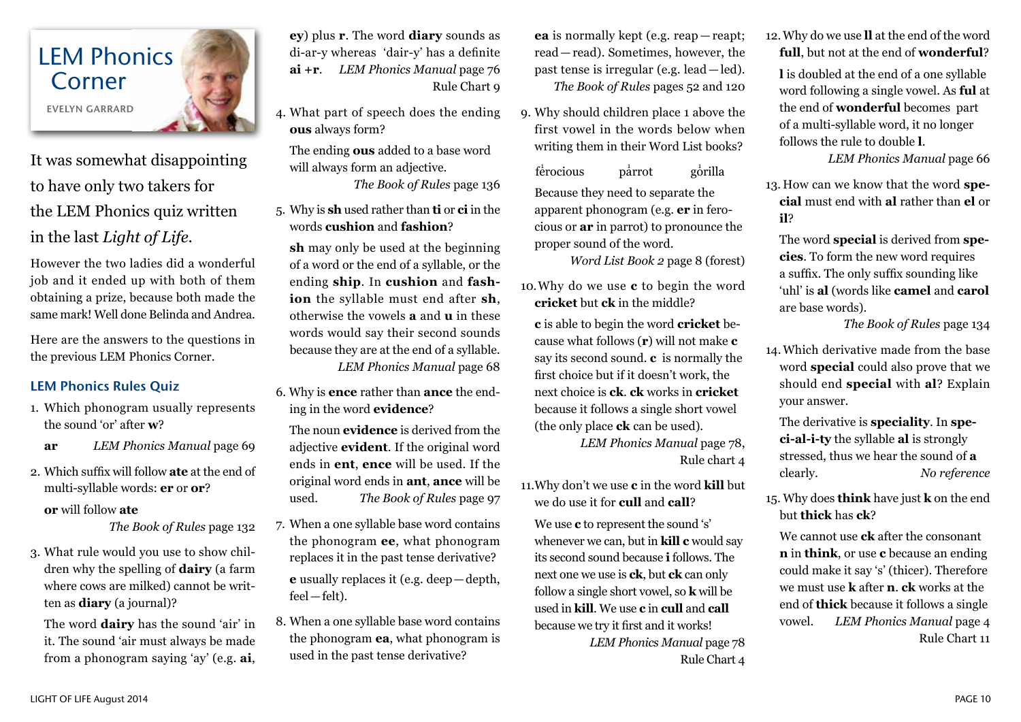

It was somewhat disappointing to have only two takers for the LEM Phonics quiz written in the last *Light of Life*.

However the two ladies did a wonderful job and it ended up with both of them obtaining a prize, because both made the same mark! Well done Belinda and Andrea.

Here are the answers to the questions in the previous LEM Phonics Corner.

# LEM Phonics Rules Quiz

- 1. Which phonogram usually represents the sound 'or' after **w**?
	- **ar** *LEM Phonics Manual* page 69
- 2. Which suffix will follow **ate** at the end of multi-syllable words: **er** or **or**? **or** will follow **ate**

*The Book of Rules* page 132

3. What rule would you use to show children why the spelling of **dairy** (a farm where cows are milked) cannot be written as **diary** (a journal)?

The word **dairy** has the sound 'air' in it. The sound 'air must always be made from a phonogram saying 'ay' (e.g. **ai**, **ey**) plus **r**. The word **diary** sounds as di-ar-y whereas 'dair-y' has a definite **ai +r**. *LEM Phonics Manual* page 76 Rule Chart 9

4. What part of speech does the ending **ous** always form?

The ending **ous** added to a base word will always form an adjective.

*The Book of Rules* page 136

5. Why is **sh** used rather than **ti** or **ci** in the words **cushion** and **fashion**?

**sh** may only be used at the beginning of a word or the end of a syllable, or the ending **ship**. In **cushion** and **fashion** the syllable must end after **sh**, otherwise the vowels **a** and **u** in these words would say their second sounds because they are at the end of a syllable. *LEM Phonics Manual* page 68

6. Why is **ence** rather than **ance** the ending in the word **evidence**?

The noun **evidence** is derived from the adjective **evident**. If the original word ends in **ent**, **ence** will be used. If the original word ends in **ant**, **ance** will be used. *The Book of Rules* page 97

- 7. When a one syllable base word contains the phonogram **ee**, what phonogram replaces it in the past tense derivative? **e** usually replaces it (e.g. deep—depth, feel—felt).
- 8. When a one syllable base word contains the phonogram **ea**, what phonogram is used in the past tense derivative?

**ea** is normally kept (e.g. reap — reapt; read—read). Sometimes, however, the past tense is irregular (e.g. lead — led). *The Book of Rules* pages 52 and 120

9. Why should children place 1 above the first vowel in the words below when writing them in their Word List books?

 $f\overset{\text{i}}{\text{e}}$ rocious p $\overset{\text{i}}{\text{a}}$  $\bar{\text{b}}$ arrot gorilla Because they need to separate the apparent phonogram (e.g. **er** in ferocious or **ar** in parrot) to pronounce the proper sound of the word.

*Word List Book 2* page 8 (forest)

10.Why do we use **c** to begin the word **cricket** but **ck** in the middle?

**c** is able to begin the word **cricket** because what follows (**r**) will not make **c** say its second sound. **c** is normally the first choice but if it doesn't work, the next choice is **ck**. **ck** works in **cricket**  because it follows a single short vowel (the only place **ck** can be used).

*LEM Phonics Manual* page 78, Rule chart 4

11.Why don't we use **c** in the word **kill** but we do use it for **cull** and **call**?

We use **c** to represent the sound 's' whenever we can, but in **kill c** would say its second sound because **i** follows. The next one we use is **ck**, but **ck** can only follow a single short vowel, so **k** will be used in **kill**. We use **c** in **cull** and **call**  because we try it first and it works!

> *LEM Phonics Manual* page 78 Rule Chart 4

12.Why do we use **ll** at the end of the word **full**, but not at the end of **wonderful**?

**l** is doubled at the end of a one syllable word following a single vowel. As **ful** at the end of **wonderful** becomes part of a multi-syllable word, it no longer follows the rule to double **l**.

*LEM Phonics Manual* page 66

13. How can we know that the word **special** must end with **al** rather than **el** or **il**?

The word **special** is derived from **species**. To form the new word requires a suffix. The only suffix sounding like 'uhl' is **al** (words like **camel** and **carol**  are base words).

*The Book of Rules* page 134

14.Which derivative made from the base word **special** could also prove that we should end **special** with **al**? Explain your answer.

The derivative is **speciality**. In **speci-al-i-ty** the syllable **al** is strongly stressed, thus we hear the sound of **a** clearly. *No reference*

15. Why does **think** have just **k** on the end but **thick** has **ck**?

We cannot use **ck** after the consonant **n** in **think**, or use **c** because an ending could make it say 's' (thicer). Therefore we must use **k** after **n**. **ck** works at the end of **thick** because it follows a single vowel. *LEM Phonics Manual* page 4 Rule Chart 11